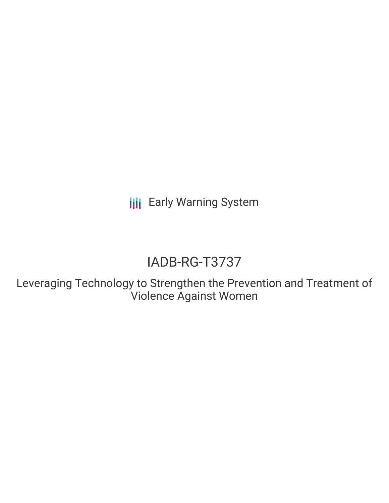**III** Early Warning System

# IADB-RG-T3737

Leveraging Technology to Strengthen the Prevention and Treatment of Violence Against Women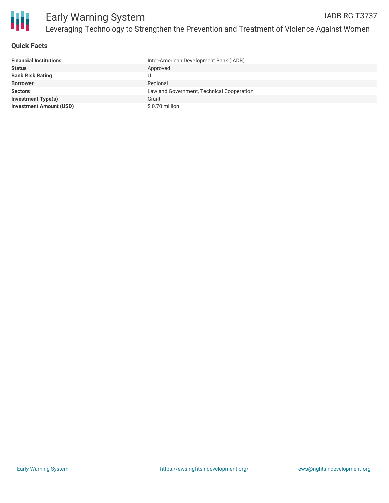

#### **Quick Facts**

| <b>Financial Institutions</b>  | Inter-American Development Bank (IADB)    |
|--------------------------------|-------------------------------------------|
| <b>Status</b>                  | Approved                                  |
| <b>Bank Risk Rating</b>        |                                           |
| <b>Borrower</b>                | Regional                                  |
| <b>Sectors</b>                 | Law and Government, Technical Cooperation |
| <b>Investment Type(s)</b>      | Grant                                     |
| <b>Investment Amount (USD)</b> | \$0.70 million                            |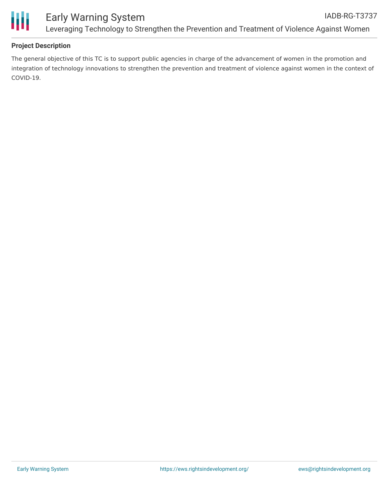

## **Project Description**

The general objective of this TC is to support public agencies in charge of the advancement of women in the promotion and integration of technology innovations to strengthen the prevention and treatment of violence against women in the context of COVID-19.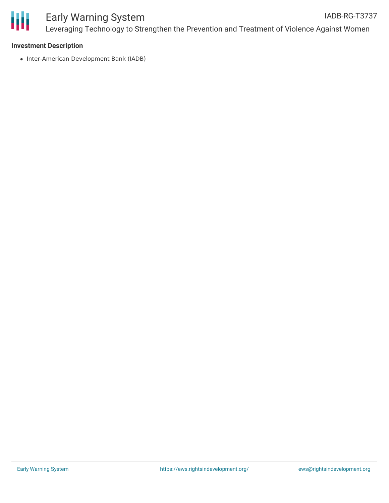

#### **Investment Description**

• Inter-American Development Bank (IADB)